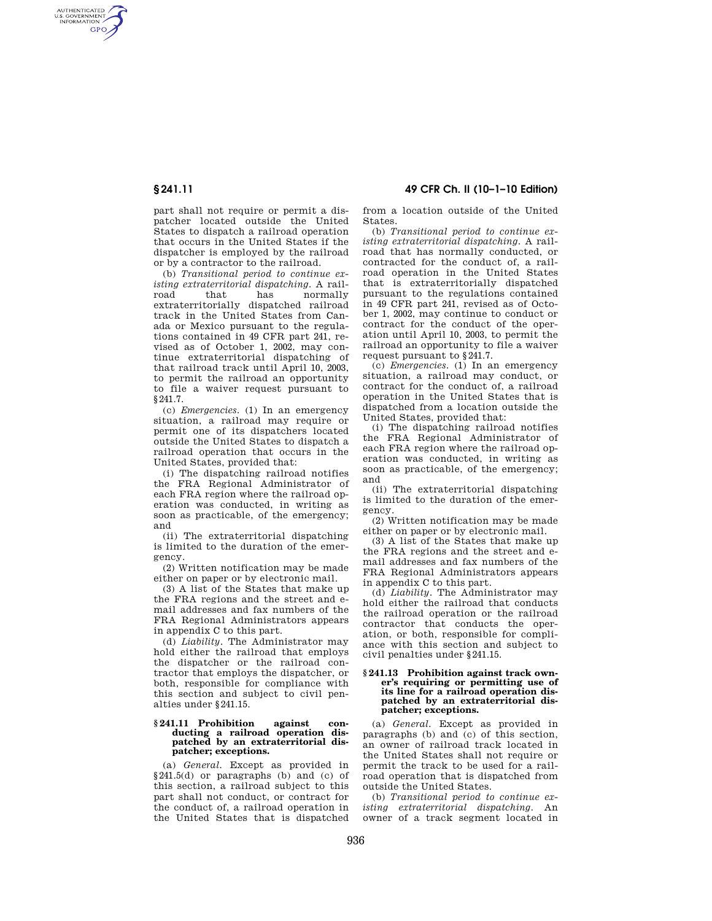AUTHENTICATED<br>U.S. GOVERNMENT<br>INFORMATION **GPO** 

> part shall not require or permit a dispatcher located outside the United States to dispatch a railroad operation that occurs in the United States if the dispatcher is employed by the railroad or by a contractor to the railroad.

> (b) *Transitional period to continue existing extraterritorial dispatching.* A railroad that has normally extraterritorially dispatched railroad track in the United States from Canada or Mexico pursuant to the regulations contained in 49 CFR part 241, revised as of October 1, 2002, may continue extraterritorial dispatching of that railroad track until April 10, 2003, to permit the railroad an opportunity to file a waiver request pursuant to §241.7.

> (c) *Emergencies.* (1) In an emergency situation, a railroad may require or permit one of its dispatchers located outside the United States to dispatch a railroad operation that occurs in the United States, provided that:

> (i) The dispatching railroad notifies the FRA Regional Administrator of each FRA region where the railroad operation was conducted, in writing as soon as practicable, of the emergency; and

> (ii) The extraterritorial dispatching is limited to the duration of the emergency.

(2) Written notification may be made either on paper or by electronic mail.

(3) A list of the States that make up the FRA regions and the street and email addresses and fax numbers of the FRA Regional Administrators appears in appendix C to this part.

(d) *Liability.* The Administrator may hold either the railroad that employs the dispatcher or the railroad contractor that employs the dispatcher, or both, responsible for compliance with this section and subject to civil penalties under §241.15.

### **§ 241.11 Prohibition against conducting a railroad operation dispatched by an extraterritorial dispatcher; exceptions.**

(a) *General.* Except as provided in §241.5(d) or paragraphs (b) and (c) of this section, a railroad subject to this part shall not conduct, or contract for the conduct of, a railroad operation in the United States that is dispatched

**§ 241.11 49 CFR Ch. II (10–1–10 Edition)** 

from a location outside of the United States.

(b) *Transitional period to continue existing extraterritorial dispatching.* A railroad that has normally conducted, or contracted for the conduct of, a railroad operation in the United States that is extraterritorially dispatched pursuant to the regulations contained in 49 CFR part 241, revised as of October 1, 2002, may continue to conduct or contract for the conduct of the operation until April 10, 2003, to permit the railroad an opportunity to file a waiver request pursuant to §241.7.

(c) *Emergencies.* (1) In an emergency situation, a railroad may conduct, or contract for the conduct of, a railroad operation in the United States that is dispatched from a location outside the United States, provided that:

(i) The dispatching railroad notifies the FRA Regional Administrator of each FRA region where the railroad operation was conducted, in writing as soon as practicable, of the emergency; and

(ii) The extraterritorial dispatching is limited to the duration of the emergency.

(2) Written notification may be made either on paper or by electronic mail.

(3) A list of the States that make up the FRA regions and the street and email addresses and fax numbers of the FRA Regional Administrators appears in appendix C to this part.

(d) *Liability.* The Administrator may hold either the railroad that conducts the railroad operation or the railroad contractor that conducts the operation, or both, responsible for compliance with this section and subject to civil penalties under §241.15.

#### **§ 241.13 Prohibition against track owner's requiring or permitting use of its line for a railroad operation dispatched by an extraterritorial dispatcher; exceptions.**

(a) *General.* Except as provided in paragraphs (b) and (c) of this section, an owner of railroad track located in the United States shall not require or permit the track to be used for a railroad operation that is dispatched from outside the United States.

(b) *Transitional period to continue existing extraterritorial dispatching.* An owner of a track segment located in